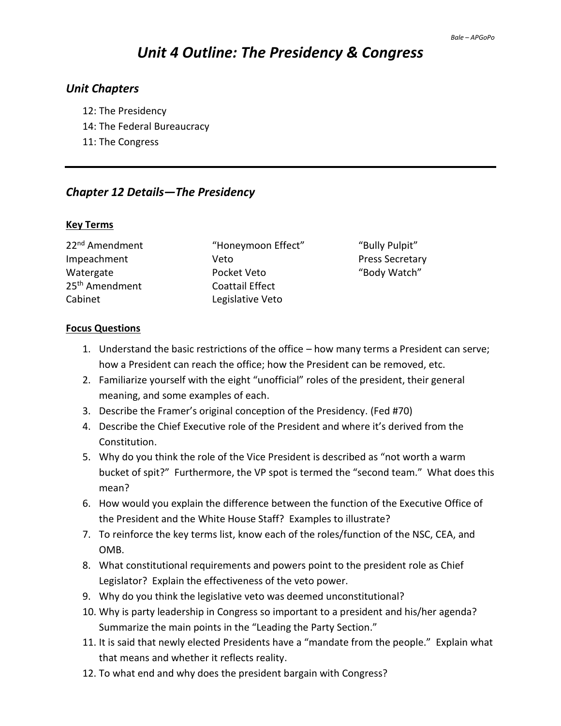# *Unit 4 Outline: The Presidency & Congress*

## *Unit Chapters*

- 12: The Presidency
- 14: The Federal Bureaucracy
- 11: The Congress

# *Chapter 12 Details—The Presidency*

#### **Key Terms**

25<sup>th</sup> Amendment Coattail Effect Cabinet Legislative Veto

22<sup>nd</sup> Amendment "Honeymoon Effect" "Bully Pulpit" Impeachment Veto Press Secretary Watergate The Pocket Veto The Mode of "Body Watch"

## **Focus Questions**

- 1. Understand the basic restrictions of the office how many terms a President can serve; how a President can reach the office; how the President can be removed, etc.
- 2. Familiarize yourself with the eight "unofficial" roles of the president, their general meaning, and some examples of each.
- 3. Describe the Framer's original conception of the Presidency. (Fed #70)
- 4. Describe the Chief Executive role of the President and where it's derived from the Constitution.
- 5. Why do you think the role of the Vice President is described as "not worth a warm bucket of spit?" Furthermore, the VP spot is termed the "second team." What does this mean?
- 6. How would you explain the difference between the function of the Executive Office of the President and the White House Staff? Examples to illustrate?
- 7. To reinforce the key terms list, know each of the roles/function of the NSC, CEA, and OMB.
- 8. What constitutional requirements and powers point to the president role as Chief Legislator? Explain the effectiveness of the veto power.
- 9. Why do you think the legislative veto was deemed unconstitutional?
- 10. Why is party leadership in Congress so important to a president and his/her agenda? Summarize the main points in the "Leading the Party Section."
- 11. It is said that newly elected Presidents have a "mandate from the people." Explain what that means and whether it reflects reality.
- 12. To what end and why does the president bargain with Congress?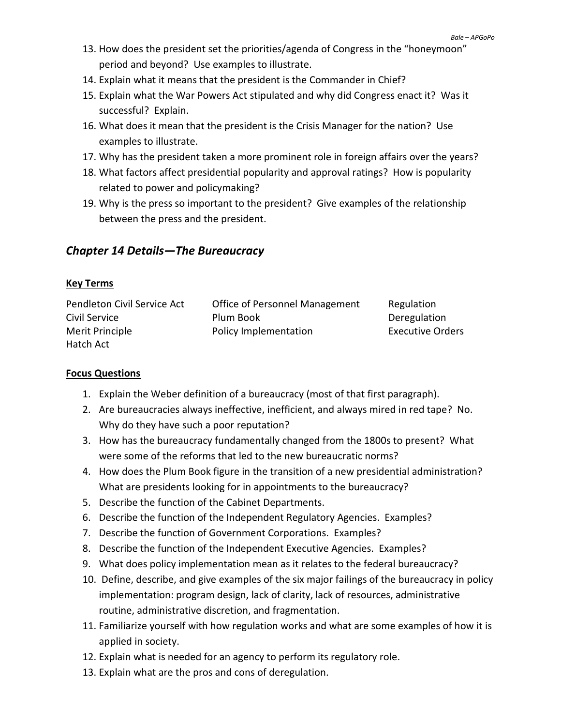- 13. How does the president set the priorities/agenda of Congress in the "honeymoon" period and beyond? Use examples to illustrate.
- 14. Explain what it means that the president is the Commander in Chief?
- 15. Explain what the War Powers Act stipulated and why did Congress enact it? Was it successful? Explain.
- 16. What does it mean that the president is the Crisis Manager for the nation? Use examples to illustrate.
- 17. Why has the president taken a more prominent role in foreign affairs over the years?
- 18. What factors affect presidential popularity and approval ratings? How is popularity related to power and policymaking?
- 19. Why is the press so important to the president? Give examples of the relationship between the press and the president.

# *Chapter 14 Details—The Bureaucracy*

#### **Key Terms**

| Pendleton Civil Service Act | Office of Personnel Management | Regulation              |
|-----------------------------|--------------------------------|-------------------------|
| Civil Service               | Plum Book                      | Deregulation            |
| Merit Principle             | Policy Implementation          | <b>Executive Orders</b> |
| Hatch Act                   |                                |                         |

## **Focus Questions**

- 1. Explain the Weber definition of a bureaucracy (most of that first paragraph).
- 2. Are bureaucracies always ineffective, inefficient, and always mired in red tape? No. Why do they have such a poor reputation?
- 3. How has the bureaucracy fundamentally changed from the 1800s to present? What were some of the reforms that led to the new bureaucratic norms?
- 4. How does the Plum Book figure in the transition of a new presidential administration? What are presidents looking for in appointments to the bureaucracy?
- 5. Describe the function of the Cabinet Departments.
- 6. Describe the function of the Independent Regulatory Agencies. Examples?
- 7. Describe the function of Government Corporations. Examples?
- 8. Describe the function of the Independent Executive Agencies. Examples?
- 9. What does policy implementation mean as it relates to the federal bureaucracy?
- 10. Define, describe, and give examples of the six major failings of the bureaucracy in policy implementation: program design, lack of clarity, lack of resources, administrative routine, administrative discretion, and fragmentation.
- 11. Familiarize yourself with how regulation works and what are some examples of how it is applied in society.
- 12. Explain what is needed for an agency to perform its regulatory role.
- 13. Explain what are the pros and cons of deregulation.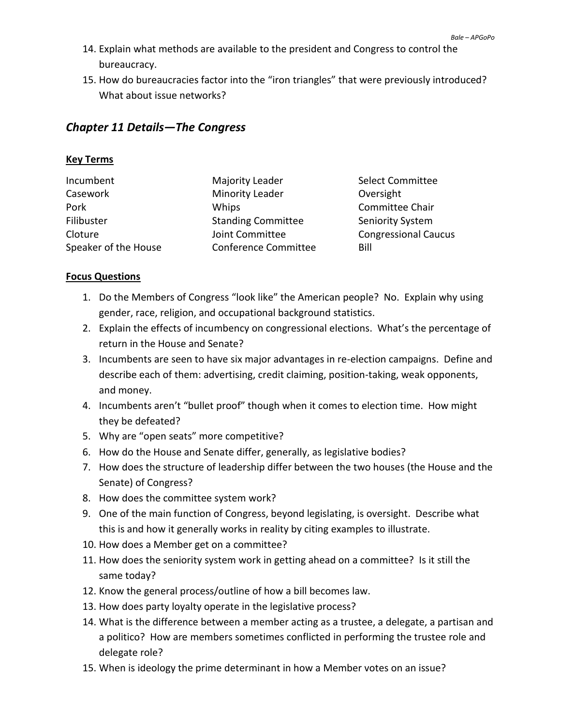- 14. Explain what methods are available to the president and Congress to control the bureaucracy.
- 15. How do bureaucracies factor into the "iron triangles" that were previously introduced? What about issue networks?

## *Chapter 11 Details—The Congress*

## **Key Terms**

| Incumbent            | Majority Leader             | <b>Select Committee</b>     |
|----------------------|-----------------------------|-----------------------------|
| Casework             | <b>Minority Leader</b>      | Oversight                   |
| Pork                 | Whips                       | Committee Chair             |
| Filibuster           | <b>Standing Committee</b>   | Seniority System            |
| Cloture              | Joint Committee             | <b>Congressional Caucus</b> |
| Speaker of the House | <b>Conference Committee</b> | Bill                        |

#### **Focus Questions**

- 1. Do the Members of Congress "look like" the American people? No. Explain why using gender, race, religion, and occupational background statistics.
- 2. Explain the effects of incumbency on congressional elections. What's the percentage of return in the House and Senate?
- 3. Incumbents are seen to have six major advantages in re-election campaigns. Define and describe each of them: advertising, credit claiming, position-taking, weak opponents, and money.
- 4. Incumbents aren't "bullet proof" though when it comes to election time. How might they be defeated?
- 5. Why are "open seats" more competitive?
- 6. How do the House and Senate differ, generally, as legislative bodies?
- 7. How does the structure of leadership differ between the two houses (the House and the Senate) of Congress?
- 8. How does the committee system work?
- 9. One of the main function of Congress, beyond legislating, is oversight. Describe what this is and how it generally works in reality by citing examples to illustrate.
- 10. How does a Member get on a committee?
- 11. How does the seniority system work in getting ahead on a committee? Is it still the same today?
- 12. Know the general process/outline of how a bill becomes law.
- 13. How does party loyalty operate in the legislative process?
- 14. What is the difference between a member acting as a trustee, a delegate, a partisan and a politico? How are members sometimes conflicted in performing the trustee role and delegate role?
- 15. When is ideology the prime determinant in how a Member votes on an issue?